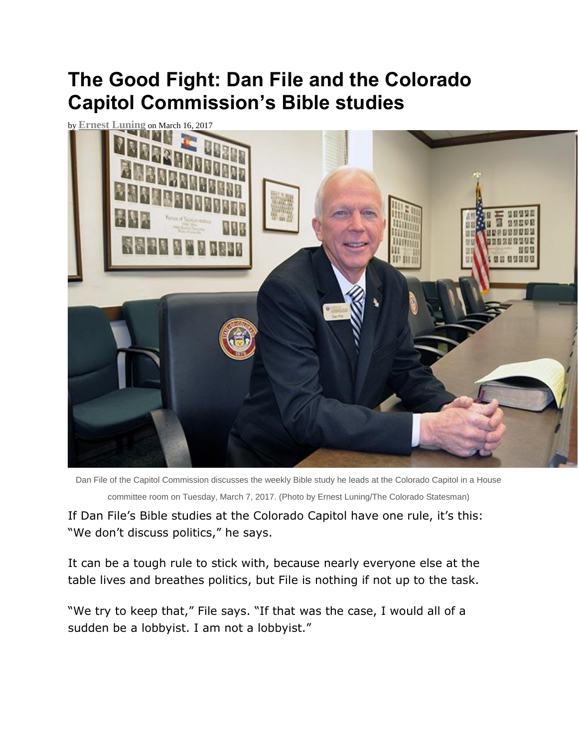## **The Good Fight: Dan File and the Colorado Capitol Commission's Bible studies**



Dan File of the Capitol Commission discusses the weekly Bible study he leads at the Colorado Capitol in a House committee room on Tuesday, March 7, 2017. (Photo by Ernest Luning/The Colorado Statesman)

If Dan File's Bible studies at the Colorado Capitol have one rule, it's this: "We don't discuss politics," he says.

It can be a tough rule to stick with, because nearly everyone else at the table lives and breathes politics, but File is nothing if not up to the task.

"We try to keep that," File says. "If that was the case, I would all of a sudden be a lobbyist. I am not a lobbyist."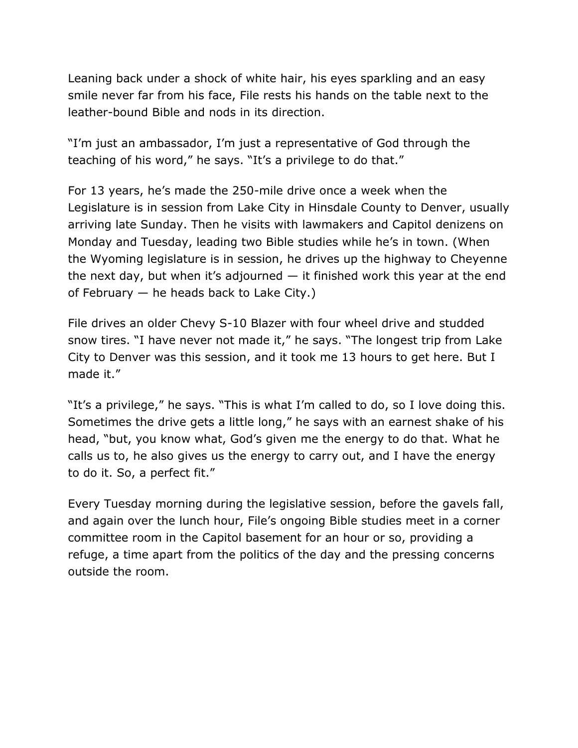Leaning back under a shock of white hair, his eyes sparkling and an easy smile never far from his face, File rests his hands on the table next to the leather-bound Bible and nods in its direction.

"I'm just an ambassador, I'm just a representative of God through the teaching of his word," he says. "It's a privilege to do that."

For 13 years, he's made the 250-mile drive once a week when the Legislature is in session from Lake City in Hinsdale County to Denver, usually arriving late Sunday. Then he visits with lawmakers and Capitol denizens on Monday and Tuesday, leading two Bible studies while he's in town. (When the Wyoming legislature is in session, he drives up the highway to Cheyenne the next day, but when it's adjourned  $-$  it finished work this year at the end of February — he heads back to Lake City.)

File drives an older Chevy S-10 Blazer with four wheel drive and studded snow tires. "I have never not made it," he says. "The longest trip from Lake City to Denver was this session, and it took me 13 hours to get here. But I made it."

"It's a privilege," he says. "This is what I'm called to do, so I love doing this. Sometimes the drive gets a little long," he says with an earnest shake of his head, "but, you know what, God's given me the energy to do that. What he calls us to, he also gives us the energy to carry out, and I have the energy to do it. So, a perfect fit."

Every Tuesday morning during the legislative session, before the gavels fall, and again over the lunch hour, File's ongoing Bible studies meet in a corner committee room in the Capitol basement for an hour or so, providing a refuge, a time apart from the politics of the day and the pressing concerns outside the room.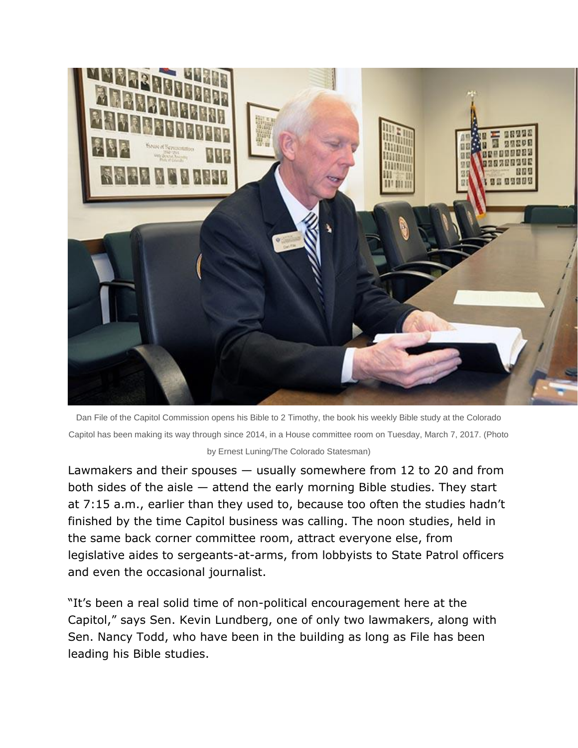

Dan File of the Capitol Commission opens his Bible to 2 Timothy, the book his weekly Bible study at the Colorado Capitol has been making its way through since 2014, in a House committee room on Tuesday, March 7, 2017. (Photo

## by Ernest Luning/The Colorado Statesman)

Lawmakers and their spouses — usually somewhere from 12 to 20 and from both sides of the aisle — attend the early morning Bible studies. They start at 7:15 a.m., earlier than they used to, because too often the studies hadn't finished by the time Capitol business was calling. The noon studies, held in the same back corner committee room, attract everyone else, from legislative aides to sergeants-at-arms, from lobbyists to State Patrol officers and even the occasional journalist.

"It's been a real solid time of non-political encouragement here at the Capitol," says Sen. Kevin Lundberg, one of only two lawmakers, along with Sen. Nancy Todd, who have been in the building as long as File has been leading his Bible studies.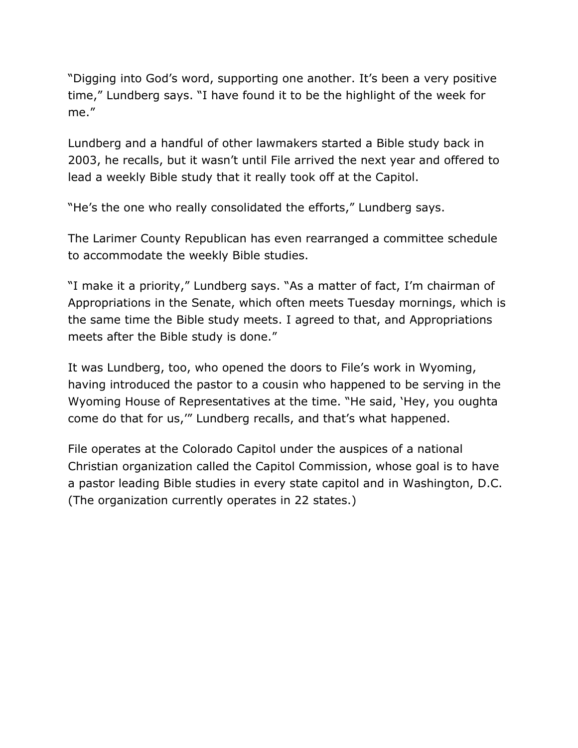"Digging into God's word, supporting one another. It's been a very positive time," Lundberg says. "I have found it to be the highlight of the week for me."

Lundberg and a handful of other lawmakers started a Bible study back in 2003, he recalls, but it wasn't until File arrived the next year and offered to lead a weekly Bible study that it really took off at the Capitol.

"He's the one who really consolidated the efforts," Lundberg says.

The Larimer County Republican has even rearranged a committee schedule to accommodate the weekly Bible studies.

"I make it a priority," Lundberg says. "As a matter of fact, I'm chairman of Appropriations in the Senate, which often meets Tuesday mornings, which is the same time the Bible study meets. I agreed to that, and Appropriations meets after the Bible study is done."

It was Lundberg, too, who opened the doors to File's work in Wyoming, having introduced the pastor to a cousin who happened to be serving in the Wyoming House of Representatives at the time. "He said, 'Hey, you oughta come do that for us,'" Lundberg recalls, and that's what happened.

File operates at the Colorado Capitol under the auspices of a national Christian organization called the Capitol Commission, whose goal is to have a pastor leading Bible studies in every state capitol and in Washington, D.C. (The organization currently operates in 22 states.)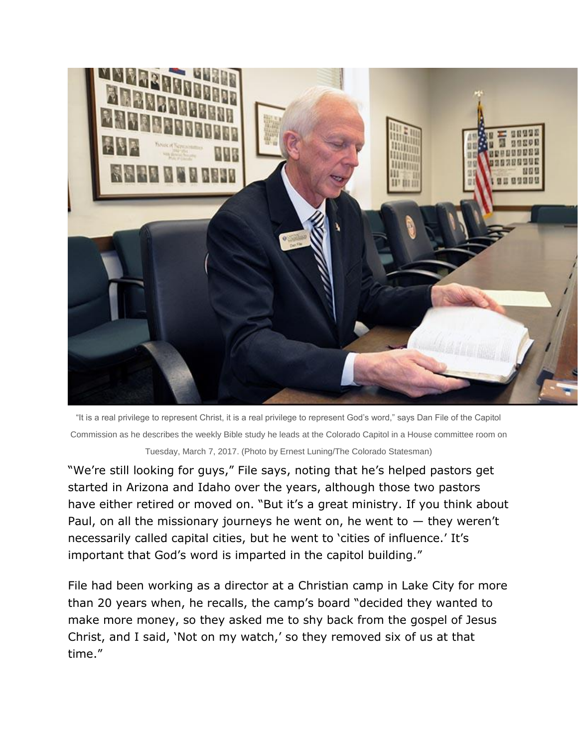

"It is a real privilege to represent Christ, it is a real privilege to represent God's word," says Dan File of the Capitol Commission as he describes the weekly Bible study he leads at the Colorado Capitol in a House committee room on Tuesday, March 7, 2017. (Photo by Ernest Luning/The Colorado Statesman)

"We're still looking for guys," File says, noting that he's helped pastors get started in Arizona and Idaho over the years, although those two pastors have either retired or moved on. "But it's a great ministry. If you think about Paul, on all the missionary journeys he went on, he went to  $-$  they weren't necessarily called capital cities, but he went to 'cities of influence.' It's important that God's word is imparted in the capitol building."

File had been working as a director at a Christian camp in Lake City for more than 20 years when, he recalls, the camp's board "decided they wanted to make more money, so they asked me to shy back from the gospel of Jesus Christ, and I said, 'Not on my watch,' so they removed six of us at that time."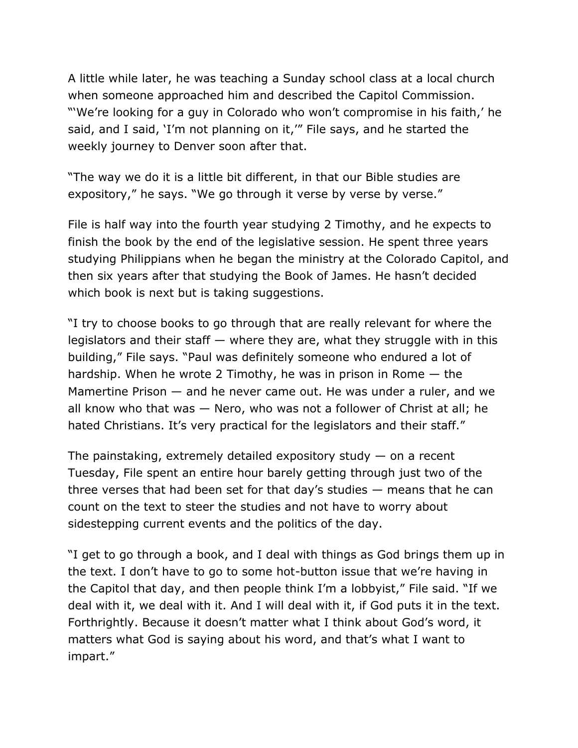A little while later, he was teaching a Sunday school class at a local church when someone approached him and described the Capitol Commission. "'We're looking for a guy in Colorado who won't compromise in his faith,' he said, and I said, 'I'm not planning on it,'" File says, and he started the weekly journey to Denver soon after that.

"The way we do it is a little bit different, in that our Bible studies are expository," he says. "We go through it verse by verse by verse."

File is half way into the fourth year studying 2 Timothy, and he expects to finish the book by the end of the legislative session. He spent three years studying Philippians when he began the ministry at the Colorado Capitol, and then six years after that studying the Book of James. He hasn't decided which book is next but is taking suggestions.

"I try to choose books to go through that are really relevant for where the legislators and their staff — where they are, what they struggle with in this building," File says. "Paul was definitely someone who endured a lot of hardship. When he wrote 2 Timothy, he was in prison in Rome  $-$  the Mamertine Prison — and he never came out. He was under a ruler, and we all know who that was — Nero, who was not a follower of Christ at all; he hated Christians. It's very practical for the legislators and their staff."

The painstaking, extremely detailed expository study  $-$  on a recent Tuesday, File spent an entire hour barely getting through just two of the three verses that had been set for that day's studies — means that he can count on the text to steer the studies and not have to worry about sidestepping current events and the politics of the day.

"I get to go through a book, and I deal with things as God brings them up in the text. I don't have to go to some hot-button issue that we're having in the Capitol that day, and then people think I'm a lobbyist," File said. "If we deal with it, we deal with it. And I will deal with it, if God puts it in the text. Forthrightly. Because it doesn't matter what I think about God's word, it matters what God is saying about his word, and that's what I want to impart."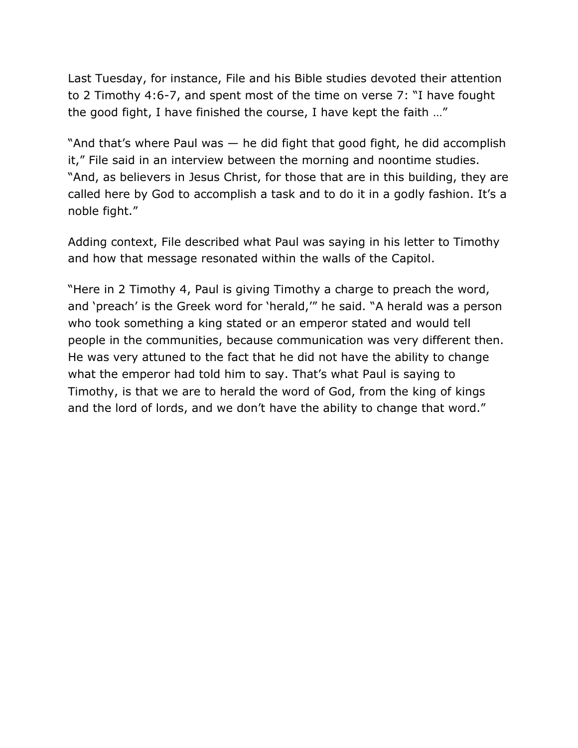Last Tuesday, for instance, File and his Bible studies devoted their attention to 2 Timothy 4:6-7, and spent most of the time on verse 7: "I have fought the good fight, I have finished the course, I have kept the faith …"

"And that's where Paul was — he did fight that good fight, he did accomplish it," File said in an interview between the morning and noontime studies. "And, as believers in Jesus Christ, for those that are in this building, they are called here by God to accomplish a task and to do it in a godly fashion. It's a noble fight."

Adding context, File described what Paul was saying in his letter to Timothy and how that message resonated within the walls of the Capitol.

"Here in 2 Timothy 4, Paul is giving Timothy a charge to preach the word, and 'preach' is the Greek word for 'herald,'" he said. "A herald was a person who took something a king stated or an emperor stated and would tell people in the communities, because communication was very different then. He was very attuned to the fact that he did not have the ability to change what the emperor had told him to say. That's what Paul is saying to Timothy, is that we are to herald the word of God, from the king of kings and the lord of lords, and we don't have the ability to change that word."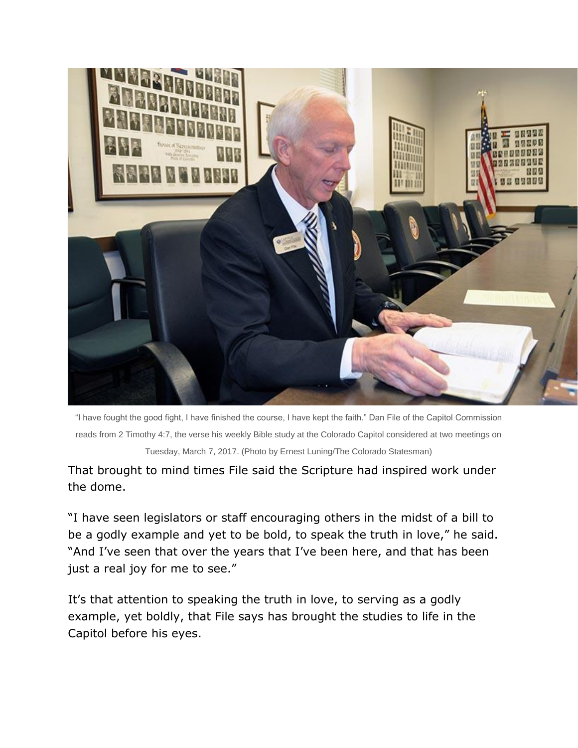

"I have fought the good fight, I have finished the course, I have kept the faith." Dan File of the Capitol Commission reads from 2 Timothy 4:7, the verse his weekly Bible study at the Colorado Capitol considered at two meetings on Tuesday, March 7, 2017. (Photo by Ernest Luning/The Colorado Statesman)

That brought to mind times File said the Scripture had inspired work under the dome.

"I have seen legislators or staff encouraging others in the midst of a bill to be a godly example and yet to be bold, to speak the truth in love," he said. "And I've seen that over the years that I've been here, and that has been just a real joy for me to see."

It's that attention to speaking the truth in love, to serving as a godly example, yet boldly, that File says has brought the studies to life in the Capitol before his eyes.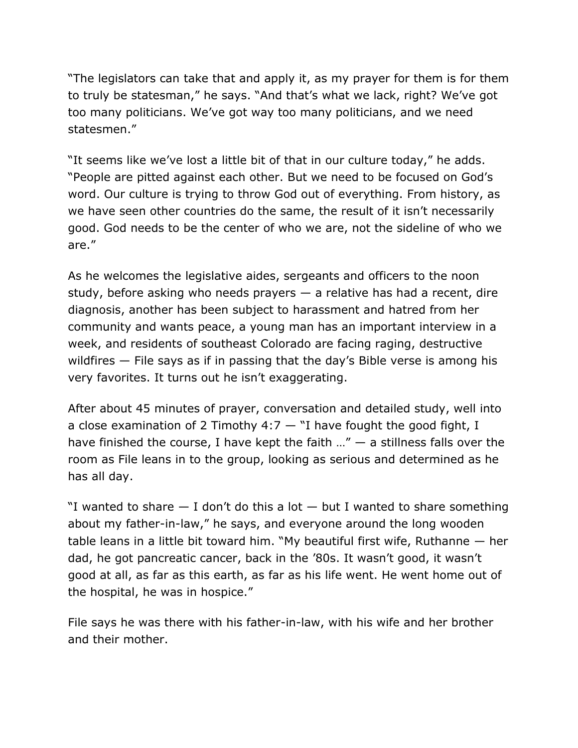"The legislators can take that and apply it, as my prayer for them is for them to truly be statesman," he says. "And that's what we lack, right? We've got too many politicians. We've got way too many politicians, and we need statesmen."

"It seems like we've lost a little bit of that in our culture today," he adds. "People are pitted against each other. But we need to be focused on God's word. Our culture is trying to throw God out of everything. From history, as we have seen other countries do the same, the result of it isn't necessarily good. God needs to be the center of who we are, not the sideline of who we are."

As he welcomes the legislative aides, sergeants and officers to the noon study, before asking who needs prayers — a relative has had a recent, dire diagnosis, another has been subject to harassment and hatred from her community and wants peace, a young man has an important interview in a week, and residents of southeast Colorado are facing raging, destructive wildfires — File says as if in passing that the day's Bible verse is among his very favorites. It turns out he isn't exaggerating.

After about 45 minutes of prayer, conversation and detailed study, well into a close examination of 2 Timothy  $4:7 -$  "I have fought the good fight, I have finished the course, I have kept the faith  $\mu$ "  $-$  a stillness falls over the room as File leans in to the group, looking as serious and determined as he has all day.

"I wanted to share  $-$  I don't do this a lot  $-$  but I wanted to share something about my father-in-law," he says, and everyone around the long wooden table leans in a little bit toward him. "My beautiful first wife, Ruthanne — her dad, he got pancreatic cancer, back in the '80s. It wasn't good, it wasn't good at all, as far as this earth, as far as his life went. He went home out of the hospital, he was in hospice."

File says he was there with his father-in-law, with his wife and her brother and their mother.